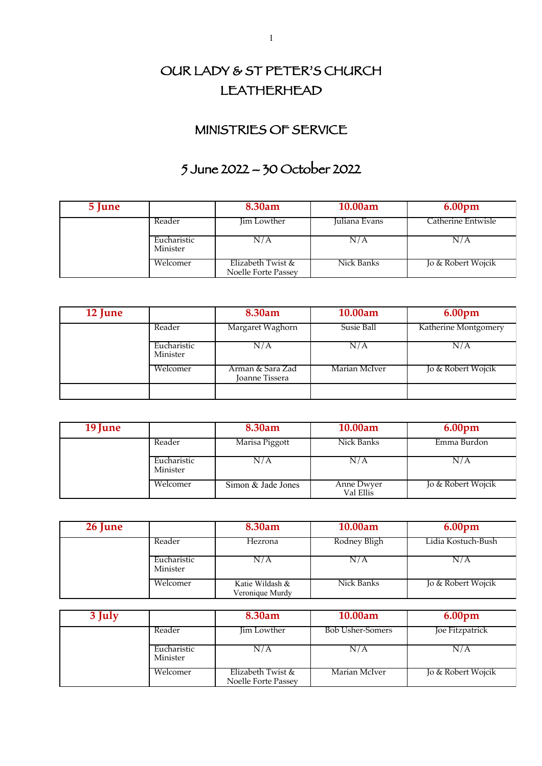## OUR LADY & ST PETER'S CHURCH LEATHERHEAD

## MINISTRIES OF SERVICE

## 5 June 2022 – 30 October 2022

| 5 June |                         | 8.30am                                   | 10.00am       | 6.00 <sub>pm</sub> |
|--------|-------------------------|------------------------------------------|---------------|--------------------|
|        | Reader                  | Jim Lowther                              | Juliana Evans | Catherine Entwisle |
|        | Eucharistic<br>Minister | N/A                                      | N/A           | N/A                |
|        | Welcomer                | Elizabeth Twist &<br>Noelle Forte Passey | Nick Banks    | Jo & Robert Wojcik |

| 12 June |                         | 8.30am                             | 10.00am       | 6.00pm               |
|---------|-------------------------|------------------------------------|---------------|----------------------|
|         | Reader                  | Margaret Waghorn                   | Susie Ball    | Katherine Montgomery |
|         | Eucharistic<br>Minister | N/A                                | N/A           | N/A                  |
|         | Welcomer                | Arman & Sara Zad<br>Joanne Tissera | Marian McIver | Jo & Robert Wojcik   |
|         |                         |                                    |               |                      |

| 19 June |                         | 8.30am             | 10.00am                 | 6.00 <sub>pm</sub> |
|---------|-------------------------|--------------------|-------------------------|--------------------|
|         | Reader                  | Marisa Piggott     | Nick Banks              | Emma Burdon        |
|         | Eucharistic<br>Minister | N/A                | N/A                     | N/A                |
|         | Welcomer                | Simon & Jade Jones | Anne Dwyer<br>Val Ellis | Jo & Robert Wojcik |

| 26 June |                         | 8.30am                             | 10.00am      | 6.00 <sub>pm</sub> |
|---------|-------------------------|------------------------------------|--------------|--------------------|
|         | Reader                  | Hezrona                            | Rodney Bligh | Lidia Kostuch-Bush |
|         | Eucharistic<br>Minister | N/A                                | N/A          | N/A                |
|         | Welcomer                | Katie Wildash &<br>Veronique Murdy | Nick Banks   | Jo & Robert Wojcik |

| 3 July |                         | 8.30am                                   | 10.00am                 | 6.00 <sub>pm</sub> |
|--------|-------------------------|------------------------------------------|-------------------------|--------------------|
|        | Reader                  | Jim Lowther                              | <b>Bob Usher-Somers</b> | Joe Fitzpatrick    |
|        | Eucharistic<br>Minister | N/A                                      | N/A                     | N/A                |
|        | Welcomer                | Elizabeth Twist &<br>Noelle Forte Passey | Marian McIver           | Jo & Robert Wojcik |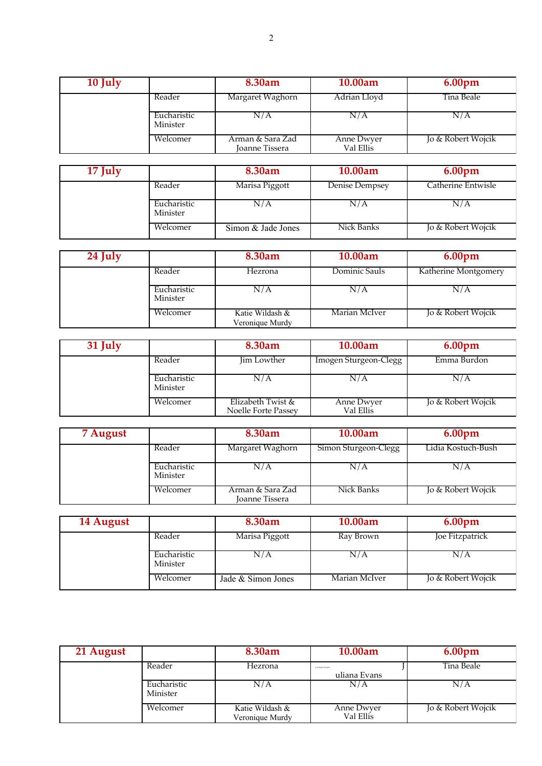| 10 July |                         | 8.30am                                    | 10.00am                 | 6.00 <sub>pm</sub> |
|---------|-------------------------|-------------------------------------------|-------------------------|--------------------|
|         | Reader                  | Margaret Waghorn                          | Adrian Lloyd            | Tina Beale         |
|         | Eucharistic<br>Minister | N/A                                       | N/A                     | N/A                |
|         | Welcomer                | Arman & Sara Zad<br><b>Joanne Tissera</b> | Anne Dwyer<br>Val Ellis | Jo & Robert Wojcik |

| 17 July |                         | 8.30am             | 10.00am        | 6.00 <sub>pm</sub> |
|---------|-------------------------|--------------------|----------------|--------------------|
|         | Reader                  | Marisa Piggott     | Denise Dempsey | Catherine Entwisle |
|         | Eucharistic<br>Minister | N/A                | N/A            | N/A                |
|         | Welcomer                | Simon & Jade Jones | Nick Banks     | Jo & Robert Wojcik |

| 24 July |                         | 8.30am                             | 10.00am       | 6.00 <sub>pm</sub>   |
|---------|-------------------------|------------------------------------|---------------|----------------------|
|         | Reader                  | Hezrona                            | Dominic Sauls | Katherine Montgomery |
|         | Eucharistic<br>Minister | N/A                                | N/A           | N/A                  |
|         | Welcomer                | Katie Wildash &<br>Veronique Murdy | Marian McIver | Jo & Robert Wojcik   |

| 31 July |                         | 8.30am                                   | 10.00am                 | 6.00 <sub>pm</sub> |
|---------|-------------------------|------------------------------------------|-------------------------|--------------------|
|         | Reader                  | Jim Lowther                              | Imogen Sturgeon-Clegg   | Emma Burdon        |
|         | Eucharistic<br>Minister | N/A                                      | N/A                     | N/A                |
|         | Welcomer                | Elizabeth Twist &<br>Noelle Forte Passey | Anne Dwyer<br>Val Ellis | Jo & Robert Wojcik |

| 7 August |                         | 8.30am                                    | 10.00am              | 6.00 <sub>pm</sub> |
|----------|-------------------------|-------------------------------------------|----------------------|--------------------|
|          | Reader                  | Margaret Waghorn                          | Simon Sturgeon-Clegg | Lidia Kostuch-Bush |
|          | Eucharistic<br>Minister | N/A                                       | N/A                  | N/A                |
|          | Welcomer                | Arman & Sara Zad<br><b>Joanne Tissera</b> | Nick Banks           | Jo & Robert Wojcik |

| 14 August |                         | 8.30am             | 10.00am       | 6.00 <sub>pm</sub> |
|-----------|-------------------------|--------------------|---------------|--------------------|
|           | Reader                  | Marisa Piggott     | Ray Brown     | Joe Fitzpatrick    |
|           | Eucharistic<br>Minister | N/A                | N/A           | N/A                |
|           | Welcomer                | Jade & Simon Jones | Marian McIver | Jo & Robert Wojcik |

| 21 August |                         | 8.30am                             | 10.00am                           | 6.00 <sub>pm</sub> |
|-----------|-------------------------|------------------------------------|-----------------------------------|--------------------|
|           | Reader                  | Hezrona                            | In & Robert Wolck<br>uliana Evans | Tina Beale         |
|           | Eucharistic<br>Minister | N/A                                | N/A                               | N / A              |
|           | Welcomer                | Katie Wildash &<br>Veronique Murdy | Anne Dwyer<br>Val Ellis           | Jo & Robert Wojcik |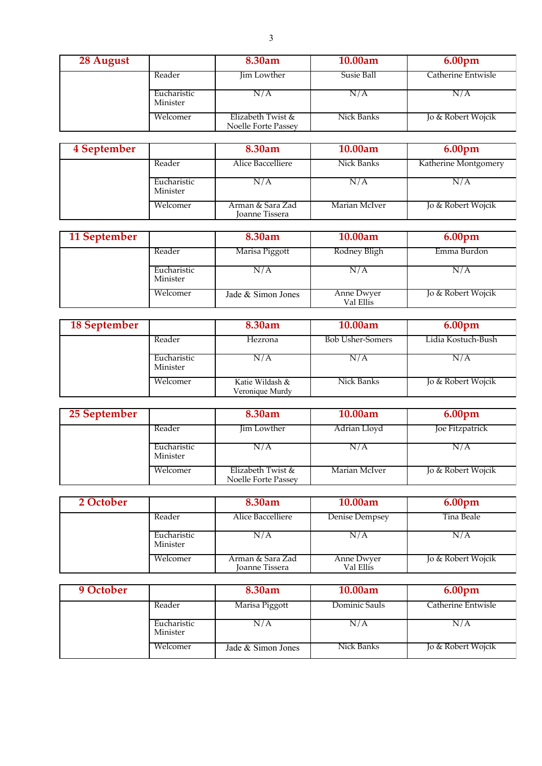| 28 August |                         | 8.30am                                   | 10.00am    | 6.00 <sub>pm</sub> |
|-----------|-------------------------|------------------------------------------|------------|--------------------|
|           | Reader                  | Jim Lowther                              | Susie Ball | Catherine Entwisle |
|           | Eucharistic<br>Minister | N/A                                      | N/A        | N/A                |
|           | Welcomer                | Elizabeth Twist &<br>Noelle Forte Passey | Nick Banks | Jo & Robert Wojcik |

| 4 September |                         | 8.30am                             | 10.00am       | 6.00 <sub>pm</sub>   |
|-------------|-------------------------|------------------------------------|---------------|----------------------|
|             | Reader                  | Alice Baccelliere                  | Nick Banks    | Katherine Montgomery |
|             | Eucharistic<br>Minister | N/A                                | N/A           | N/A                  |
|             | Welcomer                | Arman & Sara Zad<br>Joanne Tissera | Marian McIver | Jo & Robert Wojcik   |

| 11 September |                         | 8.30am             | 10.00am                 | 6.00 <sub>pm</sub> |
|--------------|-------------------------|--------------------|-------------------------|--------------------|
|              | Reader                  | Marisa Piggott     | Rodney Bligh            | Emma Burdon        |
|              | Eucharistic<br>Minister | N/A                | N/A                     | N/A                |
|              | Welcomer                | Jade & Simon Jones | Anne Dwyer<br>Val Ellis | Jo & Robert Wojcik |

| 18 September |                         | 8.30am                             | 10.00am                 | 6.00 <sub>pm</sub> |
|--------------|-------------------------|------------------------------------|-------------------------|--------------------|
|              | Reader                  | Hezrona                            | <b>Bob Usher-Somers</b> | Lidia Kostuch-Bush |
|              | Eucharistic<br>Minister | N/A                                | N/A                     | N/A                |
|              | Welcomer                | Katie Wildash &<br>Veronique Murdy | Nick Banks              | Jo & Robert Wojcik |

| 25 September |                         | 8.30am                                   | 10.00am       | 6.00 <sub>pm</sub> |
|--------------|-------------------------|------------------------------------------|---------------|--------------------|
|              | Reader                  | Jim Lowther                              | Adrian Lloyd  | Joe Fitzpatrick    |
|              | Eucharistic<br>Minister | N/A                                      | N/A           | N/A                |
|              | Welcomer                | Elizabeth Twist &<br>Noelle Forte Passey | Marian McIver | Jo & Robert Wojcik |

| 2 October |                         | 8.30am                             | 10.00am                 | 6.00 <sub>pm</sub> |
|-----------|-------------------------|------------------------------------|-------------------------|--------------------|
|           | Reader                  | Alice Baccelliere                  | Denise Dempsey          | Tina Beale         |
|           | Eucharistic<br>Minister | N/A                                | N/A                     | N/A                |
|           | Welcomer                | Arman & Sara Zad<br>Joanne Tissera | Anne Dwyer<br>Val Ellis | Jo & Robert Wojcik |

| 9 October |                         | 8.30am             | 10.00am       | 6.00 <sub>pm</sub> |
|-----------|-------------------------|--------------------|---------------|--------------------|
|           | Reader                  | Marisa Piggott     | Dominic Sauls | Catherine Entwisle |
|           | Eucharistic<br>Minister | N/A                | N/A           | N/A                |
|           | Welcomer                | Jade & Simon Jones | Nick Banks    | Jo & Robert Wojcik |